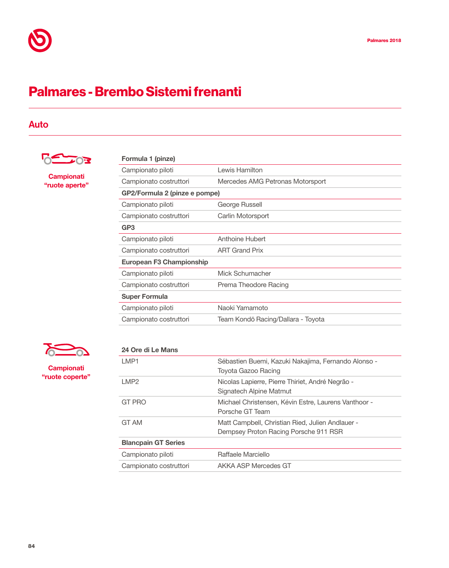## Palmares - Brembo Sistemi frenanti

## Auto



Campionati "ruote aperte"

| Formula 1 (pinze)               |                                    |  |
|---------------------------------|------------------------------------|--|
| Campionato piloti               | Lewis Hamilton                     |  |
| Campionato costruttori          | Mercedes AMG Petronas Motorsport   |  |
| GP2/Formula 2 (pinze e pompe)   |                                    |  |
| Campionato piloti               | George Russell                     |  |
| Campionato costruttori          | Carlin Motorsport                  |  |
| GP <sub>3</sub>                 |                                    |  |
| Campionato piloti               | Anthoine Hubert                    |  |
| Campionato costruttori          | <b>ART Grand Prix</b>              |  |
| <b>European F3 Championship</b> |                                    |  |
| Campionato piloti               | Mick Schumacher                    |  |
| Campionato costruttori          | Prema Theodore Racing              |  |
| <b>Super Formula</b>            |                                    |  |
| Campionato piloti               | Naoki Yamamoto                     |  |
| Campionato costruttori          | Team Kondō Racing/Dallara - Toyota |  |
|                                 |                                    |  |

 $\sum_{i=1}^{n}$ 

**Campionati** "ruote coperte"

| 24 Ore di Le Mans          |                                                      |
|----------------------------|------------------------------------------------------|
| LMP1                       | Sébastien Buemi, Kazuki Nakajima, Fernando Alonso -  |
|                            | <b>Toyota Gazoo Racing</b>                           |
| LMP <sub>2</sub>           | Nicolas Lapierre, Pierre Thiriet, André Negrão -     |
|                            | Signatech Alpine Matmut                              |
| <b>GT PRO</b>              | Michael Christensen, Kévin Estre, Laurens Vanthoor - |
|                            | Porsche GT Team                                      |
| GT AM                      | Matt Campbell, Christian Ried, Julien Andlauer -     |
|                            | Dempsey Proton Racing Porsche 911 RSR                |
| <b>Blancpain GT Series</b> |                                                      |
| Campionato piloti          | Raffaele Marciello                                   |
| Campionato costruttori     | AKKA ASP Mercedes GT                                 |